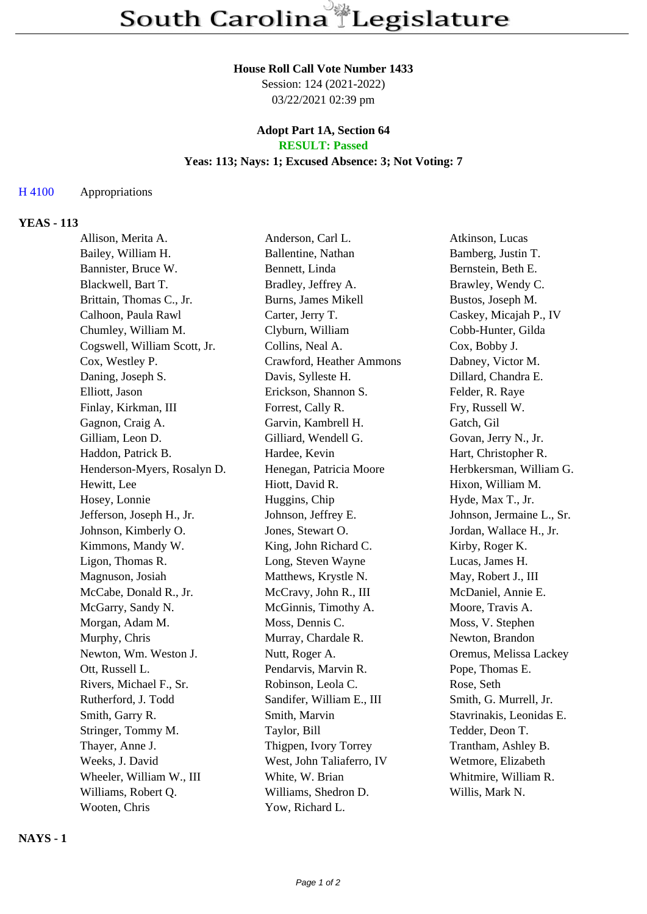### **House Roll Call Vote Number 1433**

Session: 124 (2021-2022) 03/22/2021 02:39 pm

#### **Adopt Part 1A, Section 64 RESULT: Passed**

### **Yeas: 113; Nays: 1; Excused Absence: 3; Not Voting: 7**

#### H 4100 Appropriations

#### **YEAS - 113**

Allison, Merita A. Anderson, Carl L. Atkinson, Lucas Bailey, William H. Ballentine, Nathan Bamberg, Justin T. Bannister, Bruce W. Bennett, Linda Bernstein, Beth E. Blackwell, Bart T. Bradley, Jeffrey A. Brawley, Wendy C. Brittain, Thomas C., Jr. Burns, James Mikell Bustos, Joseph M. Calhoon, Paula Rawl Carter, Jerry T. Caskey, Micajah P., IV Chumley, William M. Clyburn, William Cobb-Hunter, Gilda Cogswell, William Scott, Jr. Collins, Neal A. Cox, Bobby J. Cox, Westley P. Crawford, Heather Ammons Dabney, Victor M. Daning, Joseph S. Davis, Sylleste H. Dillard, Chandra E. Elliott, Jason Erickson, Shannon S. Felder, R. Raye Finlay, Kirkman, III Forrest, Cally R. Fry, Russell W. Gagnon, Craig A. Garvin, Kambrell H. Gatch, Gil Gilliam, Leon D. Gilliard, Wendell G. Govan, Jerry N., Jr. Haddon, Patrick B. The Hardee, Kevin Hart, Christopher R. Henderson-Myers, Rosalyn D. Henegan, Patricia Moore Herbkersman, William G. Hewitt, Lee Hiott, David R. Hixon, William M. Hosey, Lonnie Huggins, Chip Hyde, Max T., Jr. Jefferson, Joseph H., Jr. Johnson, Jeffrey E. Johnson, Jermaine L., Sr. Johnson, Kimberly O. Jones, Stewart O. Jordan, Wallace H., Jr. Kimmons, Mandy W. King, John Richard C. Kirby, Roger K. Ligon, Thomas R. Long, Steven Wayne Lucas, James H. Magnuson, Josiah Matthews, Krystle N. May, Robert J., III McCabe, Donald R., Jr. McCravy, John R., III McDaniel, Annie E. McGarry, Sandy N. McGinnis, Timothy A. Moore, Travis A. Morgan, Adam M. Moss, Dennis C. Moss, V. Stephen Murphy, Chris Murray, Chardale R. Newton, Brandon Newton, Wm. Weston J. Nutt, Roger A. Oremus, Melissa Lackey Ott, Russell L. Pendarvis, Marvin R. Pope, Thomas E. Rivers, Michael F., Sr. Robinson, Leola C. Rose, Seth Rutherford, J. Todd Sandifer, William E., III Smith, G. Murrell, Jr. Smith, Garry R. Smith, Marvin Smith, Marvin Stavrinakis, Leonidas E. Stringer, Tommy M. Taylor, Bill Tedder, Deon T. Thayer, Anne J. Thigpen, Ivory Torrey Trantham, Ashley B. Weeks, J. David West, John Taliaferro, IV Wetmore, Elizabeth Wheeler, William W., III White, W. Brian Whitmire, William R. Williams, Robert Q. Williams, Shedron D. Willis, Mark N. Wooten, Chris Yow, Richard L.